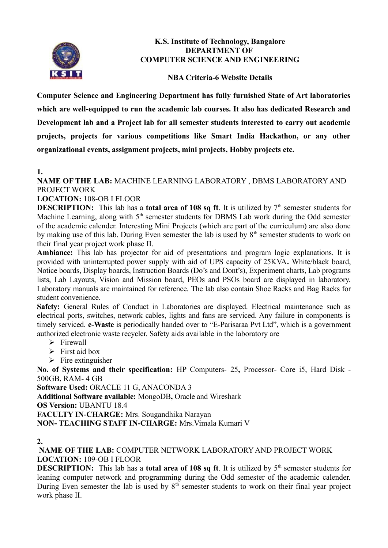

#### **K.S. Institute of Technology, Bangalore DEPARTMENT OF COMPUTER SCIENCE AND ENGINEERING**

### **NBA Criteria-6 Website Details**

**Computer Science and Engineering Department has fully furnished State of Art laboratories which are well-equipped to run the academic lab courses. It also has dedicated Research and Development lab and a Project lab for all semester students interested to carry out academic projects, projects for various competitions like Smart India Hackathon, or any other organizational events, assignment projects, mini projects, Hobby projects etc.** 

#### **1.**

**NAME OF THE LAB:** MACHINE LEARNING LABORATORY , DBMS LABORATORY AND PROJECT WORK

### **LOCATION:** 108-OB I FLOOR

**DESCRIPTION:** This lab has a **total area of 108 sq ft**. It is utilized by  $7<sup>th</sup>$  semester students for Machine Learning, along with  $5<sup>th</sup>$  semester students for DBMS Lab work during the Odd semester of the academic calender. Interesting Mini Projects (which are part of the curriculum) are also done by making use of this lab. During Even semester the lab is used by  $8<sup>th</sup>$  semester students to work on their final year project work phase II.

**Ambiance:** This lab has projector for aid of presentations and program logic explanations. It is provided with uninterrupted power supply with aid of UPS capacity of 25KVA**.** White/black board, Notice boards, Display boards, Instruction Boards (Do's and Dont's), Experiment charts, Lab programs lists, Lab Layouts, Vision and Mission board, PEOs and PSOs board are displayed in laboratory. Laboratory manuals are maintained for reference. The lab also contain Shoe Racks and Bag Racks for student convenience.

Safety: General Rules of Conduct in Laboratories are displayed. Electrical maintenance such as electrical ports, switches, network cables, lights and fans are serviced. Any failure in components is timely serviced. **e-Waste** is periodically handed over to "E-Parisaraa Pvt Ltd", which is a government authorized electronic waste recycler. Safety aids available in the laboratory are

- $\triangleright$  Firewall
- $\triangleright$  First aid box
- $\triangleright$  Fire extinguisher

**No. of Systems and their specification:** HP Computers- 25**,** Processor- Core i5, Hard Disk - 500GB, RAM- 4 GB

**Software Used:** ORACLE 11 G, ANACONDA 3

**Additional Software available:** MongoDB**,** Oracle and Wireshark

**OS Version:** UBANTU 18.4

**FACULTY IN-CHARGE:** Mrs. Sougandhika Narayan

**NON- TEACHING STAFF IN-CHARGE:** Mrs.Vimala Kumari V

**2.**

 **NAME OF THE LAB:** COMPUTER NETWORK LABORATORY AND PROJECT WORK **LOCATION:** 109-OB I FLOOR

**DESCRIPTION:** This lab has a **total area of 108 sq ft**. It is utilized by  $5<sup>th</sup>$  semester students for leaning computer network and programming during the Odd semester of the academic calender. During Even semester the lab is used by  $8<sup>th</sup>$  semester students to work on their final year project work phase II.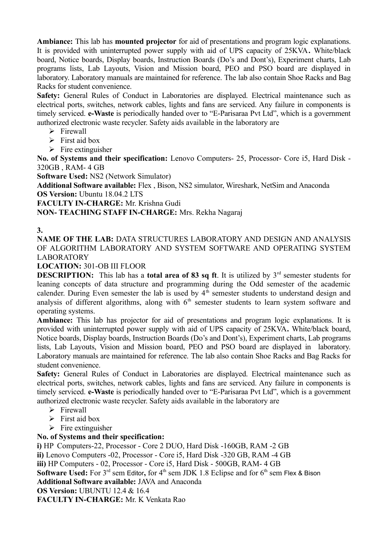**Ambiance:** This lab has **mounted projector** for aid of presentations and program logic explanations. It is provided with uninterrupted power supply with aid of UPS capacity of 25KVA**.** White/black board, Notice boards, Display boards, Instruction Boards (Do's and Dont's), Experiment charts, Lab programs lists, Lab Layouts, Vision and Mission board, PEO and PSO board are displayed in laboratory. Laboratory manuals are maintained for reference. The lab also contain Shoe Racks and Bag Racks for student convenience.

Safety: General Rules of Conduct in Laboratories are displayed. Electrical maintenance such as electrical ports, switches, network cables, lights and fans are serviced. Any failure in components is timely serviced. **e-Waste** is periodically handed over to "E-Parisaraa Pvt Ltd", which is a government authorized electronic waste recycler. Safety aids available in the laboratory are

- $\triangleright$  Firewall
- $\triangleright$  First aid box
- $\triangleright$  Fire extinguisher

**No. of Systems and their specification:** Lenovo Computers- 25, Processor- Core i5, Hard Disk - 320GB , RAM- 4 GB

**Software Used:** NS2 (Network Simulator)

**Additional Software available:** Flex , Bison, NS2 simulator, Wireshark, NetSim and Anaconda **OS Version:** Ubuntu 18.04.2 LTS

**FACULTY IN-CHARGE:** Mr. Krishna Gudi

### **NON- TEACHING STAFF IN-CHARGE:** Mrs. Rekha Nagaraj

### **3.**

**NAME OF THE LAB:** DATA STRUCTURES LABORATORY AND DESIGN AND ANALYSIS OF ALGORITHM LABORATORY AND SYSTEM SOFTWARE AND OPERATING SYSTEM LABORATORY

**LOCATION:** 301-OB III FLOOR

**DESCRIPTION:** This lab has a **total area of 83 sq ft**. It is utilized by 3<sup>rd</sup> semester students for leaning concepts of data structure and programming during the Odd semester of the academic calender. During Even semester the lab is used by  $4^{\overline{h}}$  semester students to understand design and analysis of different algorithms, along with  $6<sup>th</sup>$  semester students to learn system software and operating systems.

**Ambiance:** This lab has projector for aid of presentations and program logic explanations. It is provided with uninterrupted power supply with aid of UPS capacity of 25KVA**.** White/black board, Notice boards, Display boards, Instruction Boards (Do's and Dont's), Experiment charts, Lab programs lists, Lab Layouts, Vision and Mission board, PEO and PSO board are displayed in laboratory. Laboratory manuals are maintained for reference. The lab also contain Shoe Racks and Bag Racks for student convenience.

Safety: General Rules of Conduct in Laboratories are displayed. Electrical maintenance such as electrical ports, switches, network cables, lights and fans are serviced. Any failure in components is timely serviced. **e-Waste** is periodically handed over to "E-Parisaraa Pvt Ltd", which is a government authorized electronic waste recycler. Safety aids available in the laboratory are

- $\triangleright$  Firewall
- $\triangleright$  First aid box
- $\triangleright$  Fire extinguisher

### **No. of Systems and their specification:**

**i)** HP Computers-22, Processor - Core 2 DUO, Hard Disk -160GB, RAM -2 GB

**ii)** Lenovo Computers -02, Processor - Core i5, Hard Disk -320 GB, RAM -4 GB

**iii)** HP Computers - 02, Processor - Core i5, Hard Disk - 500GB, RAM- 4 GB

**Software Used:** For 3<sup>rd</sup> sem Editor, for 4<sup>th</sup> sem JDK 1.8 Eclipse and for 6<sup>th</sup> sem Flex & Bison

**Additional Software available:** JAVA and Anaconda

**OS Version:** UBUNTU 12.4 & 16.4

**FACULTY IN-CHARGE:** Mr. K Venkata Rao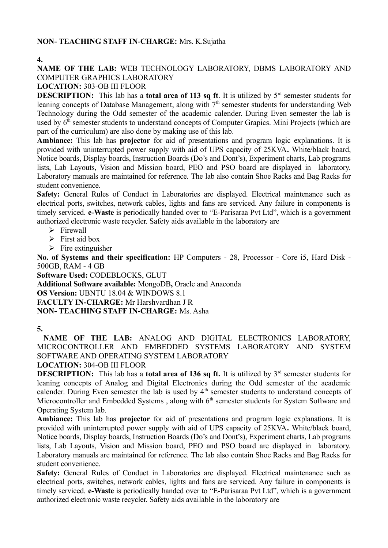## **NON- TEACHING STAFF IN-CHARGE:** Mrs. K.Sujatha

**4.**

# **NAME OF THE LAB:** WEB TECHNOLOGY LABORATORY, DBMS LABORATORY AND COMPUTER GRAPHICS LABORATORY

### **LOCATION:** 303-OB III FLOOR

**DESCRIPTION:** This lab has a **total area of 113 sq ft**. It is utilized by 5<sup>rd</sup> semester students for leaning concepts of Database Management, along with  $7<sup>th</sup>$  semester students for understanding Web Technology during the Odd semester of the academic calender. During Even semester the lab is used by  $6<sup>th</sup>$  semester students to understand concepts of Computer Grapics. Mini Projects (which are part of the curriculum) are also done by making use of this lab.

**Ambiance:** This lab has **projector** for aid of presentations and program logic explanations. It is provided with uninterrupted power supply with aid of UPS capacity of 25KVA**.** White/black board, Notice boards, Display boards, Instruction Boards (Do's and Dont's), Experiment charts, Lab programs lists, Lab Layouts, Vision and Mission board, PEO and PSO board are displayed in laboratory. Laboratory manuals are maintained for reference. The lab also contain Shoe Racks and Bag Racks for student convenience.

Safety: General Rules of Conduct in Laboratories are displayed. Electrical maintenance such as electrical ports, switches, network cables, lights and fans are serviced. Any failure in components is timely serviced. **e-Waste** is periodically handed over to "E-Parisaraa Pvt Ltd", which is a government authorized electronic waste recycler. Safety aids available in the laboratory are

- $\triangleright$  Firewall
- $\triangleright$  First aid box
- $\triangleright$  Fire extinguisher

**No. of Systems and their specification:** HP Computers - 28, Processor - Core i5, Hard Disk - 500GB, RAM - 4 GB

**Software Used:** CODEBLOCKS, GLUT **Additional Software available:** MongoDB**,** Oracle and Anaconda **OS Version:** UBNTU 18.04 & WINDOWS 8.1 **FACULTY IN-CHARGE:** Mr Harshvardhan J R **NON- TEACHING STAFF IN-CHARGE:** Ms. Asha

# **5.**

 **NAME OF THE LAB:** ANALOG AND DIGITAL ELECTRONICS LABORATORY, MICROCONTROLLER AND EMBEDDED SYSTEMS LABORATORY AND SYSTEM SOFTWARE AND OPERATING SYSTEM LABORATORY

**LOCATION:** 304-OB III FLOOR

**DESCRIPTION:** This lab has a **total area of 136 sq ft.** It is utilized by  $3<sup>rd</sup>$  semester students for leaning concepts of Analog and Digital Electronics during the Odd semester of the academic calender. During Even semester the lab is used by 4<sup>th</sup> semester students to understand concepts of Microcontroller and Embedded Systems, along with  $6<sup>th</sup>$  semester students for System Software and Operating System lab.

**Ambiance:** This lab has **projector** for aid of presentations and program logic explanations. It is provided with uninterrupted power supply with aid of UPS capacity of 25KVA**.** White/black board, Notice boards, Display boards, Instruction Boards (Do's and Dont's), Experiment charts, Lab programs lists, Lab Layouts, Vision and Mission board, PEO and PSO board are displayed in laboratory. Laboratory manuals are maintained for reference. The lab also contain Shoe Racks and Bag Racks for student convenience.

Safety: General Rules of Conduct in Laboratories are displayed. Electrical maintenance such as electrical ports, switches, network cables, lights and fans are serviced. Any failure in components is timely serviced. **e-Waste** is periodically handed over to "E-Parisaraa Pvt Ltd", which is a government authorized electronic waste recycler. Safety aids available in the laboratory are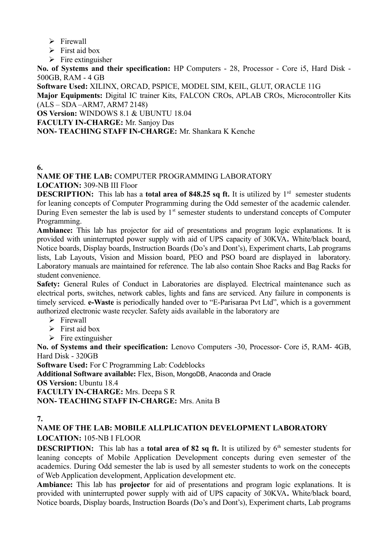- $\triangleright$  Firewall
- $\triangleright$  First aid box
- $\triangleright$  Fire extinguisher

**No. of Systems and their specification:** HP Computers - 28, Processor - Core i5, Hard Disk - 500GB, RAM - 4 GB

**Software Used:** XILINX, ORCAD, PSPICE, MODEL SIM, KEIL, GLUT, ORACLE 11G

**Major Equipments:** Digital IC trainer Kits, FALCON CROs, APLAB CROs, Microcontroller Kits (ALS – SDA –ARM7, ARM7 2148)

**OS Version:** WINDOWS 8.1 & UBUNTU 18.04

**FACULTY IN-CHARGE:** Mr. Sanjoy Das

#### **NON- TEACHING STAFF IN-CHARGE:** Mr. Shankara K Kenche

#### **6.**

**NAME OF THE LAB:** COMPUTER PROGRAMMING LABORATORY **LOCATION:** 309-NB III Floor

**DESCRIPTION:** This lab has a **total area of 848.25 sq ft.** It is utilized by  $1<sup>rd</sup>$  semester students for leaning concepts of Computer Programming during the Odd semester of the academic calender. During Even semester the lab is used by  $1<sup>st</sup>$  semester students to understand concepts of Computer Programming.

**Ambiance:** This lab has projector for aid of presentations and program logic explanations. It is provided with uninterrupted power supply with aid of UPS capacity of 30KVA**.** White/black board, Notice boards, Display boards, Instruction Boards (Do's and Dont's), Experiment charts, Lab programs lists, Lab Layouts, Vision and Mission board, PEO and PSO board are displayed in laboratory. Laboratory manuals are maintained for reference. The lab also contain Shoe Racks and Bag Racks for student convenience.

Safety: General Rules of Conduct in Laboratories are displayed. Electrical maintenance such as electrical ports, switches, network cables, lights and fans are serviced. Any failure in components is timely serviced. **e-Waste** is periodically handed over to "E-Parisaraa Pvt Ltd", which is a government authorized electronic waste recycler. Safety aids available in the laboratory are

- $\triangleright$  Firewall
- $\triangleright$  First aid box
- $\triangleright$  Fire extinguisher

**No. of Systems and their specification:** Lenovo Computers -30, Processor- Core i5, RAM- 4GB, Hard Disk - 320GB

**Software Used:** For C Programming Lab: Codeblocks

**Additional Software available:** Flex, Bison, MongoDB, Anaconda and Oracle

**OS Version:** Ubuntu 18.4

**FACULTY IN-CHARGE:** Mrs. Deepa S R

**NON- TEACHING STAFF IN-CHARGE:** Mrs. Anita B

### **7.**

**NAME OF THE LAB: MOBILE ALLPLICATION DEVELOPMENT LABORATORY LOCATION:** 105-NB I FLOOR

**DESCRIPTION:** This lab has a **total area of 82 sq ft.** It is utilized by  $6<sup>th</sup>$  semester students for leaning concepts of Mobile Application Development concepts during even semester of the academics. During Odd semester the lab is used by all semester students to work on the conecepts of Web Application development, Application development etc.

**Ambiance:** This lab has **projector** for aid of presentations and program logic explanations. It is provided with uninterrupted power supply with aid of UPS capacity of 30KVA**.** White/black board, Notice boards, Display boards, Instruction Boards (Do's and Dont's), Experiment charts, Lab programs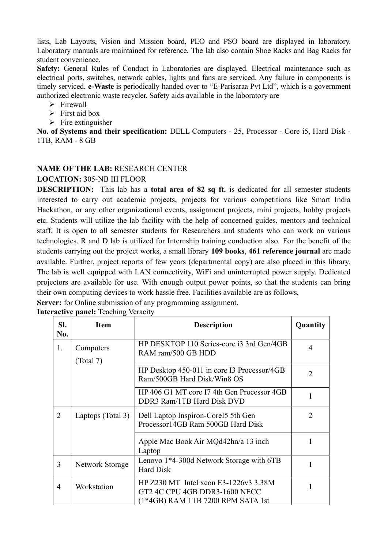lists, Lab Layouts, Vision and Mission board, PEO and PSO board are displayed in laboratory. Laboratory manuals are maintained for reference. The lab also contain Shoe Racks and Bag Racks for student convenience.

Safety: General Rules of Conduct in Laboratories are displayed. Electrical maintenance such as electrical ports, switches, network cables, lights and fans are serviced. Any failure in components is timely serviced. **e-Waste** is periodically handed over to "E-Parisaraa Pvt Ltd", which is a government authorized electronic waste recycler. Safety aids available in the laboratory are

- $\triangleright$  Firewall
- $\triangleright$  First aid box
- $\triangleright$  Fire extinguisher

**No. of Systems and their specification:** DELL Computers - 25, Processor - Core i5, Hard Disk - 1TB, RAM - 8 GB

## **NAME OF THE LAB:** RESEARCH CENTER

### **LOCATION: 3**05-NB III FLOOR

**DESCRIPTION:** This lab has a **total area of 82 sq ft.** is dedicated for all semester students interested to carry out academic projects, projects for various competitions like Smart India Hackathon, or any other organizational events, assignment projects, mini projects, hobby projects etc. Students will utilize the lab facility with the help of concerned guides, mentors and technical staff. It is open to all semester students for Researchers and students who can work on various technologies. R and D lab is utilized for Internship training conduction also. For the benefit of the students carrying out the project works, a small library **109 books**, **461 reference journal** are made available. Further, project reports of few years (departmental copy) are also placed in this library. The lab is well equipped with LAN connectivity, WiFi and uninterrupted power supply. Dedicated projectors are available for use. With enough output power points, so that the students can bring their own computing devices to work hassle free. Facilities available are as follows,

|  |  |  | Server: for Online submission of any programming assignment. |  |
|--|--|--|--------------------------------------------------------------|--|
|  |  |  |                                                              |  |

| SI.<br>No.     | <b>Item</b>            | <b>Description</b>                                                                                          | Quantity       |
|----------------|------------------------|-------------------------------------------------------------------------------------------------------------|----------------|
| 1.             | Computers<br>(Total 7) | HP DESKTOP 110 Series-core i3 3rd Gen/4GB<br>RAM ram/500 GB HDD                                             | 4              |
|                |                        | HP Desktop 450-011 in core I3 Processor/4GB<br>Ram/500GB Hard Disk/Win8 OS                                  | $\overline{2}$ |
|                |                        | HP 406 G1 MT core I7 4th Gen Processor 4GB<br>DDR3 Ram/1TB Hard Disk DVD                                    |                |
| $\overline{2}$ | Laptops (Total 3)      | Dell Laptop Inspiron-Corel 55th Gen<br>Processor14GB Ram 500GB Hard Disk                                    | 2              |
|                |                        | Apple Mac Book Air MQd42hn/a 13 inch<br>Laptop                                                              | 1              |
| 3              | Network Storage        | Lenovo 1*4-300d Network Storage with 6TB<br><b>Hard Disk</b>                                                | $\mathbf{1}$   |
| 4              | Workstation            | HP Z230 MT Intel xeon E3-1226v3 3.38M<br>GT2 4C CPU 4GB DDR3-1600 NECC<br>(1*4GB) RAM 1TB 7200 RPM SATA 1st |                |

**Interactive panel:** Teaching Veracity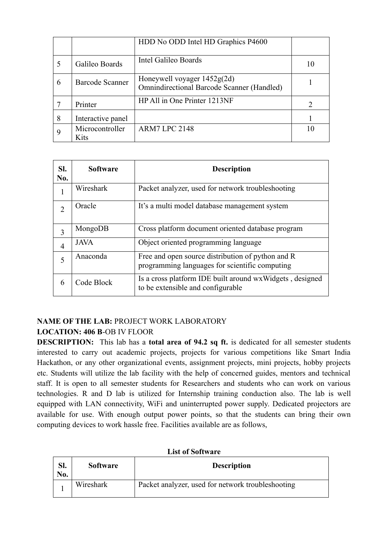|   |                         | HDD No ODD Intel HD Graphics P4600                                                 |               |
|---|-------------------------|------------------------------------------------------------------------------------|---------------|
|   | Galileo Boards          | Intel Galileo Boards                                                               | 10            |
| 6 | Barcode Scanner         | Honeywell voyager $1452g(2d)$<br><b>Omnindirectional Barcode Scanner (Handled)</b> |               |
|   | Printer                 | HP All in One Printer 1213NF                                                       | $\mathcal{D}$ |
| 8 | Interactive panel       |                                                                                    |               |
|   | Microcontroller<br>Kits | <b>ARM7 LPC 2148</b>                                                               | 10            |

| SI.<br>No.     | <b>Software</b> | <b>Description</b>                                                                                  |
|----------------|-----------------|-----------------------------------------------------------------------------------------------------|
| 1              | Wireshark       | Packet analyzer, used for network troubleshooting                                                   |
| $\overline{2}$ | Oracle          | It's a multi model database management system                                                       |
| 3              | MongoDB         | Cross platform document oriented database program                                                   |
| 4              | <b>JAVA</b>     | Object oriented programming language                                                                |
| 5              | Anaconda        | Free and open source distribution of python and R<br>programming languages for scientific computing |
| 6              | Code Block      | Is a cross platform IDE built around wxWidgets, designed<br>to be extensible and configurable       |

# **NAME OF THE LAB:** PROJECT WORK LABORATORY **LOCATION: 406 B**-OB IV FLOOR

**DESCRIPTION:** This lab has a **total area of 94.2 sq ft.** is dedicated for all semester students interested to carry out academic projects, projects for various competitions like Smart India Hackathon, or any other organizational events, assignment projects, mini projects, hobby projects etc. Students will utilize the lab facility with the help of concerned guides, mentors and technical staff. It is open to all semester students for Researchers and students who can work on various technologies. R and D lab is utilized for Internship training conduction also. The lab is well equipped with LAN connectivity, WiFi and uninterrupted power supply. Dedicated projectors are available for use. With enough output power points, so that the students can bring their own computing devices to work hassle free. Facilities available are as follows,

| LIST OF SOITMALE |                 |                                                   |  |  |
|------------------|-----------------|---------------------------------------------------|--|--|
| Sl.<br>No.       | <b>Software</b> | <b>Description</b>                                |  |  |
|                  | Wireshark       | Packet analyzer, used for network troubleshooting |  |  |

#### **List of Software**